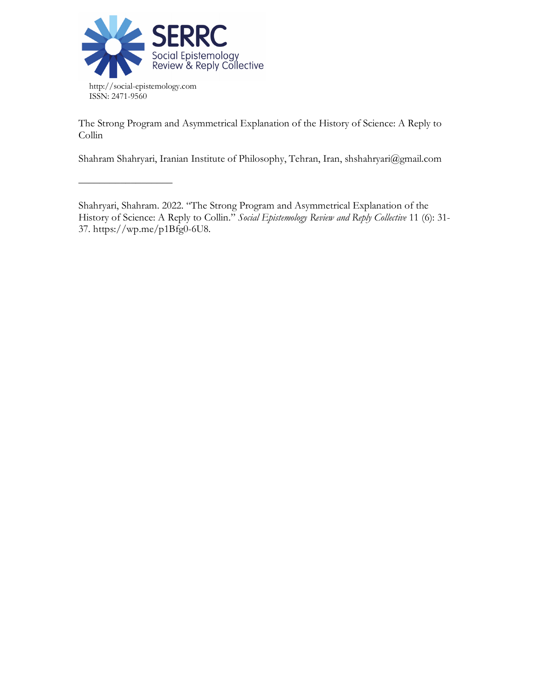

––––––––––––––––––

The Strong Program and Asymmetrical Explanation of the History of Science: A Reply to Collin

Shahram Shahryari, Iranian Institute of Philosophy, Tehran, Iran, shshahryari@gmail.com

Shahryari, Shahram. 2022. "The Strong Program and Asymmetrical Explanation of the History of Science: A Reply to Collin." *Social Epistemology Review and Reply Collective* 11 (6): 31- 37. https://wp.me/p1Bfg0-6U8.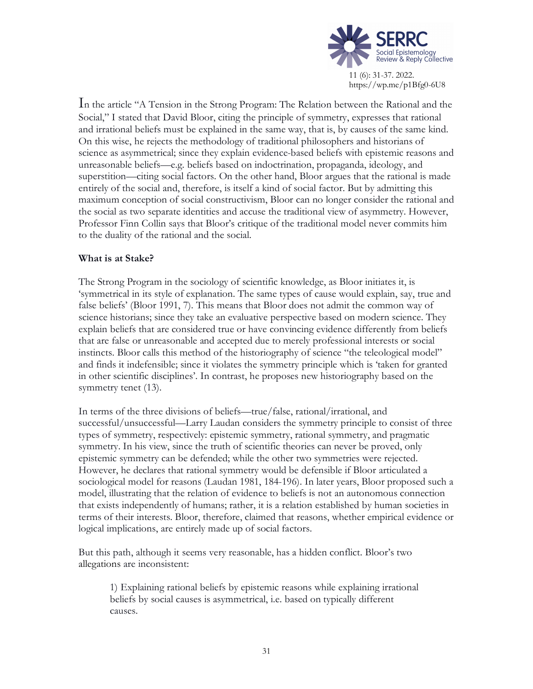

In the article "A Tension in the Strong Program: The Relation between the Rational and the Social," I stated that David Bloor, citing the principle of symmetry, expresses that rational and irrational beliefs must be explained in the same way, that is, by causes of the same kind. On this wise, he rejects the methodology of traditional philosophers and historians of science as asymmetrical; since they explain evidence-based beliefs with epistemic reasons and unreasonable beliefs—e.g. beliefs based on indoctrination, propaganda, ideology, and superstition—citing social factors. On the other hand, Bloor argues that the rational is made entirely of the social and, therefore, is itself a kind of social factor. But by admitting this maximum conception of social constructivism, Bloor can no longer consider the rational and the social as two separate identities and accuse the traditional view of asymmetry. However, Professor Finn Collin says that Bloor's critique of the traditional model never commits him to the duality of the rational and the social.

# **What is at Stake?**

The Strong Program in the sociology of scientific knowledge, as Bloor initiates it, is 'symmetrical in its style of explanation. The same types of cause would explain, say, true and false beliefs' (Bloor 1991, 7). This means that Bloor does not admit the common way of science historians; since they take an evaluative perspective based on modern science. They explain beliefs that are considered true or have convincing evidence differently from beliefs that are false or unreasonable and accepted due to merely professional interests or social instincts. Bloor calls this method of the historiography of science "the teleological model" and finds it indefensible; since it violates the symmetry principle which is 'taken for granted in other scientific disciplines'. In contrast, he proposes new historiography based on the symmetry tenet (13).

In terms of the three divisions of beliefs—true/false, rational/irrational, and successful/unsuccessful—Larry Laudan considers the symmetry principle to consist of three types of symmetry, respectively: epistemic symmetry, rational symmetry, and pragmatic symmetry. In his view, since the truth of scientific theories can never be proved, only epistemic symmetry can be defended; while the other two symmetries were rejected. However, he declares that rational symmetry would be defensible if Bloor articulated a sociological model for reasons (Laudan 1981, 184-196). In later years, Bloor proposed such a model, illustrating that the relation of evidence to beliefs is not an autonomous connection that exists independently of humans; rather, it is a relation established by human societies in terms of their interests. Bloor, therefore, claimed that reasons, whether empirical evidence or logical implications, are entirely made up of social factors.

But this path, although it seems very reasonable, has a hidden conflict. Bloor's two allegations are inconsistent:

1) Explaining rational beliefs by epistemic reasons while explaining irrational beliefs by social causes is asymmetrical, i.e. based on typically different causes.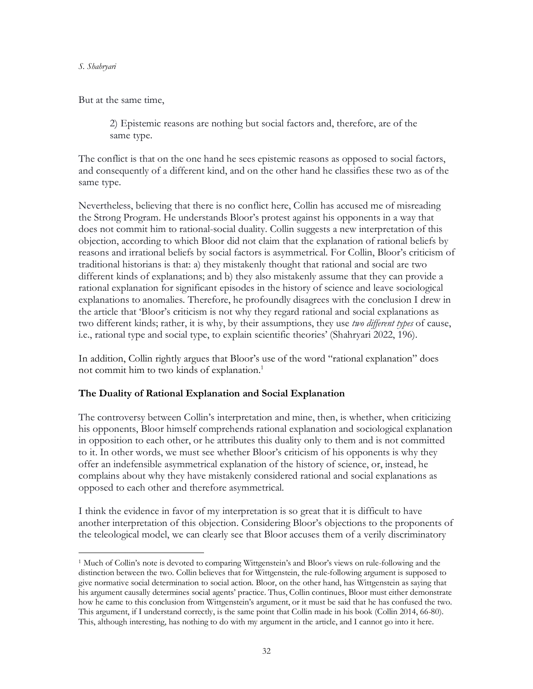But at the same time,

2) Epistemic reasons are nothing but social factors and, therefore, are of the same type.

The conflict is that on the one hand he sees epistemic reasons as opposed to social factors, and consequently of a different kind, and on the other hand he classifies these two as of the same type.

Nevertheless, believing that there is no conflict here, Collin has accused me of misreading the Strong Program. He understands Bloor's protest against his opponents in a way that does not commit him to rational-social duality. Collin suggests a new interpretation of this objection, according to which Bloor did not claim that the explanation of rational beliefs by reasons and irrational beliefs by social factors is asymmetrical. For Collin, Bloor's criticism of traditional historians is that: a) they mistakenly thought that rational and social are two different kinds of explanations; and b) they also mistakenly assume that they can provide a rational explanation for significant episodes in the history of science and leave sociological explanations to anomalies. Therefore, he profoundly disagrees with the conclusion I drew in the article that 'Bloor's criticism is not why they regard rational and social explanations as two different kinds; rather, it is why, by their assumptions, they use *two different types* of cause, i.e., rational type and social type, to explain scientific theories' (Shahryari 2022, 196).

In addition, Collin rightly argues that Bloor's use of the word "rational explanation" does not commit him to two kinds of explanation.<sup>1</sup>

## **The Duality of Rational Explanation and Social Explanation**

The controversy between Collin's interpretation and mine, then, is whether, when criticizing his opponents, Bloor himself comprehends rational explanation and sociological explanation in opposition to each other, or he attributes this duality only to them and is not committed to it. In other words, we must see whether Bloor's criticism of his opponents is why they offer an indefensible asymmetrical explanation of the history of science, or, instead, he complains about why they have mistakenly considered rational and social explanations as opposed to each other and therefore asymmetrical.

I think the evidence in favor of my interpretation is so great that it is difficult to have another interpretation of this objection. Considering Bloor's objections to the proponents of the teleological model, we can clearly see that Bloor accuses them of a verily discriminatory

 <sup>1</sup> Much of Collin's note is devoted to comparing Wittgenstein's and Bloor's views on rule-following and the distinction between the two. Collin believes that for Wittgenstein, the rule-following argument is supposed to give normative social determination to social action. Bloor, on the other hand, has Wittgenstein as saying that his argument causally determines social agents' practice. Thus, Collin continues, Bloor must either demonstrate how he came to this conclusion from Wittgenstein's argument, or it must be said that he has confused the two. This argument, if I understand correctly, is the same point that Collin made in his book (Collin 2014, 66-80). This, although interesting, has nothing to do with my argument in the article, and I cannot go into it here.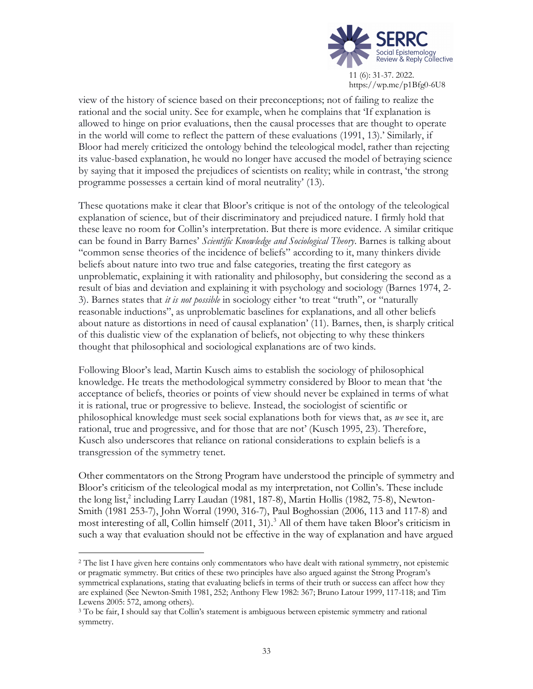

https://wp.me/p1Bfg0-6U8

view of the history of science based on their preconceptions; not of failing to realize the rational and the social unity. See for example, when he complains that 'If explanation is allowed to hinge on prior evaluations, then the causal processes that are thought to operate in the world will come to reflect the pattern of these evaluations (1991, 13).' Similarly, if Bloor had merely criticized the ontology behind the teleological model, rather than rejecting its value-based explanation, he would no longer have accused the model of betraying science by saying that it imposed the prejudices of scientists on reality; while in contrast, 'the strong programme possesses a certain kind of moral neutrality' (13).

These quotations make it clear that Bloor's critique is not of the ontology of the teleological explanation of science, but of their discriminatory and prejudiced nature. I firmly hold that these leave no room for Collin's interpretation. But there is more evidence. A similar critique can be found in Barry Barnes' *Scientific Knowledge and Sociological Theory*. Barnes is talking about "common sense theories of the incidence of beliefs" according to it, many thinkers divide beliefs about nature into two true and false categories, treating the first category as unproblematic, explaining it with rationality and philosophy, but considering the second as a result of bias and deviation and explaining it with psychology and sociology (Barnes 1974, 2- 3). Barnes states that *it is not possible* in sociology either 'to treat "truth", or "naturally reasonable inductions", as unproblematic baselines for explanations, and all other beliefs about nature as distortions in need of causal explanation' (11). Barnes, then, is sharply critical of this dualistic view of the explanation of beliefs, not objecting to why these thinkers thought that philosophical and sociological explanations are of two kinds.

Following Bloor's lead, Martin Kusch aims to establish the sociology of philosophical knowledge. He treats the methodological symmetry considered by Bloor to mean that 'the acceptance of beliefs, theories or points of view should never be explained in terms of what it is rational, true or progressive to believe. Instead, the sociologist of scientific or philosophical knowledge must seek social explanations both for views that, as *we* see it, are rational, true and progressive, and for those that are not' (Kusch 1995, 23). Therefore, Kusch also underscores that reliance on rational considerations to explain beliefs is a transgression of the symmetry tenet.

Other commentators on the Strong Program have understood the principle of symmetry and Bloor's criticism of the teleological modal as my interpretation, not Collin's. These include the long list,<sup>2</sup> including Larry Laudan (1981, 187-8), Martin Hollis (1982, 75-8), Newton-Smith (1981 253-7), John Worral (1990, 316-7), Paul Boghossian (2006, 113 and 117-8) and most interesting of all, Collin himself (2011, 31).<sup>3</sup> All of them have taken Bloor's criticism in such a way that evaluation should not be effective in the way of explanation and have argued

<sup>&</sup>lt;sup>2</sup> The list I have given here contains only commentators who have dealt with rational symmetry, not epistemic or pragmatic symmetry. But critics of these two principles have also argued against the Strong Program's symmetrical explanations, stating that evaluating beliefs in terms of their truth or success can affect how they are explained (See Newton-Smith 1981, 252; Anthony Flew 1982: 367; Bruno Latour 1999, 117-118; and Tim Lewens 2005: 572, among others).

<sup>&</sup>lt;sup>3</sup> To be fair, I should say that Collin's statement is ambiguous between epistemic symmetry and rational symmetry.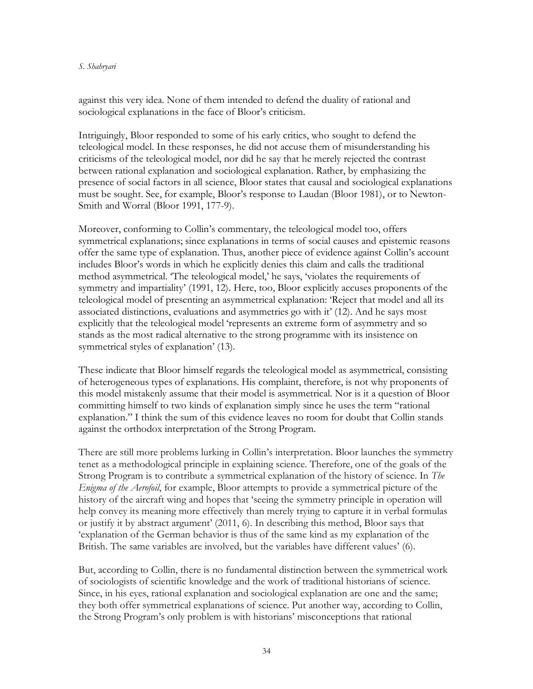#### *S. Shahryari*

against this very idea. None of them intended to defend the duality of rational and sociological explanations in the face of Bloor's criticism.

Intriguingly, Bloor responded to some of his early critics, who sought to defend the teleological model. In these responses, he did not accuse them of misunderstanding his criticisms of the teleological model, nor did he say that he merely rejected the contrast between rational explanation and sociological explanation. Rather, by emphasizing the presence of social factors in all science, Bloor states that causal and sociological explanations must be sought. See, for example, Bloor's response to Laudan (Bloor 1981), or to Newton-Smith and Worral (Bloor 1991, 177-9).

Moreover, conforming to Collin's commentary, the teleological model too, offers symmetrical explanations; since explanations in terms of social causes and epistemic reasons offer the same type of explanation. Thus, another piece of evidence against Collin's account includes Bloor's words in which he explicitly denies this claim and calls the traditional method asymmetrical. 'The teleological model,' he says, 'violates the requirements of symmetry and impartiality' (1991, 12). Here, too, Bloor explicitly accuses proponents of the teleological model of presenting an asymmetrical explanation: 'Reject that model and all its associated distinctions, evaluations and asymmetries go with it' (12). And he says most explicitly that the teleological model 'represents an extreme form of asymmetry and so stands as the most radical alternative to the strong programme with its insistence on symmetrical styles of explanation' (13).

These indicate that Bloor himself regards the teleological model as asymmetrical, consisting of heterogeneous types of explanations. His complaint, therefore, is not why proponents of this model mistakenly assume that their model is asymmetrical. Nor is it a question of Bloor committing himself to two kinds of explanation simply since he uses the term "rational explanation." I think the sum of this evidence leaves no room for doubt that Collin stands against the orthodox interpretation of the Strong Program.

There are still more problems lurking in Collin's interpretation. Bloor launches the symmetry tenet as a methodological principle in explaining science. Therefore, one of the goals of the Strong Program is to contribute a symmetrical explanation of the history of science. In *The Enigma of the Aerofoil*, for example, Bloor attempts to provide a symmetrical picture of the history of the aircraft wing and hopes that 'seeing the symmetry principle in operation will help convey its meaning more effectively than merely trying to capture it in verbal formulas or justify it by abstract argument' (2011, 6). In describing this method, Bloor says that 'explanation of the German behavior is thus of the same kind as my explanation of the British. The same variables are involved, but the variables have different values' (6).

But, according to Collin, there is no fundamental distinction between the symmetrical work of sociologists of scientific knowledge and the work of traditional historians of science. Since, in his eyes, rational explanation and sociological explanation are one and the same; they both offer symmetrical explanations of science. Put another way, according to Collin, the Strong Program's only problem is with historians' misconceptions that rational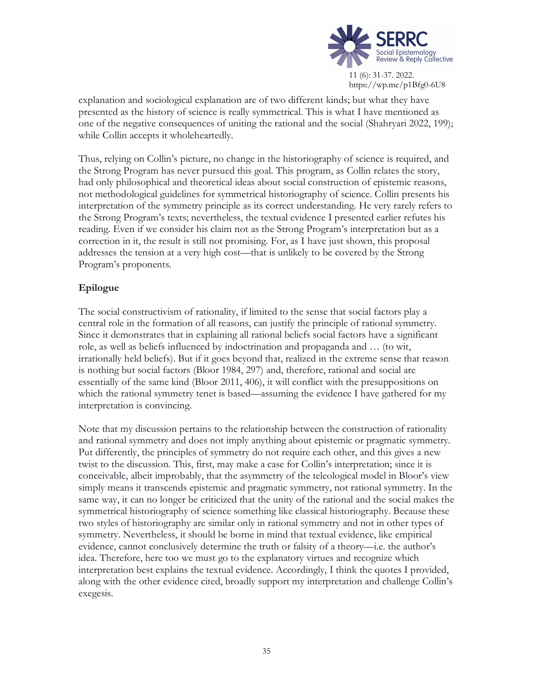

explanation and sociological explanation are of two different kinds; but what they have presented as the history of science is really symmetrical. This is what I have mentioned as one of the negative consequences of uniting the rational and the social (Shahryari 2022, 199); while Collin accepts it wholeheartedly.

Thus, relying on Collin's picture, no change in the historiography of science is required, and the Strong Program has never pursued this goal. This program, as Collin relates the story, had only philosophical and theoretical ideas about social construction of epistemic reasons, not methodological guidelines for symmetrical historiography of science. Collin presents his interpretation of the symmetry principle as its correct understanding. He very rarely refers to the Strong Program's texts; nevertheless, the textual evidence I presented earlier refutes his reading. Even if we consider his claim not as the Strong Program's interpretation but as a correction in it, the result is still not promising. For, as I have just shown, this proposal addresses the tension at a very high cost—that is unlikely to be covered by the Strong Program's proponents.

# **Epilogue**

The social constructivism of rationality, if limited to the sense that social factors play a central role in the formation of all reasons, can justify the principle of rational symmetry. Since it demonstrates that in explaining all rational beliefs social factors have a significant role, as well as beliefs influenced by indoctrination and propaganda and … (to wit, irrationally held beliefs). But if it goes beyond that, realized in the extreme sense that reason is nothing but social factors (Bloor 1984, 297) and, therefore, rational and social are essentially of the same kind (Bloor 2011, 406), it will conflict with the presuppositions on which the rational symmetry tenet is based—assuming the evidence I have gathered for my interpretation is convincing.

Note that my discussion pertains to the relationship between the construction of rationality and rational symmetry and does not imply anything about epistemic or pragmatic symmetry. Put differently, the principles of symmetry do not require each other, and this gives a new twist to the discussion. This, first, may make a case for Collin's interpretation; since it is conceivable, albeit improbably, that the asymmetry of the teleological model in Bloor's view simply means it transcends epistemic and pragmatic symmetry, not rational symmetry. In the same way, it can no longer be criticized that the unity of the rational and the social makes the symmetrical historiography of science something like classical historiography. Because these two styles of historiography are similar only in rational symmetry and not in other types of symmetry. Nevertheless, it should be borne in mind that textual evidence, like empirical evidence, cannot conclusively determine the truth or falsity of a theory—i.e. the author's idea. Therefore, here too we must go to the explanatory virtues and recognize which interpretation best explains the textual evidence. Accordingly, I think the quotes I provided, along with the other evidence cited, broadly support my interpretation and challenge Collin's exegesis.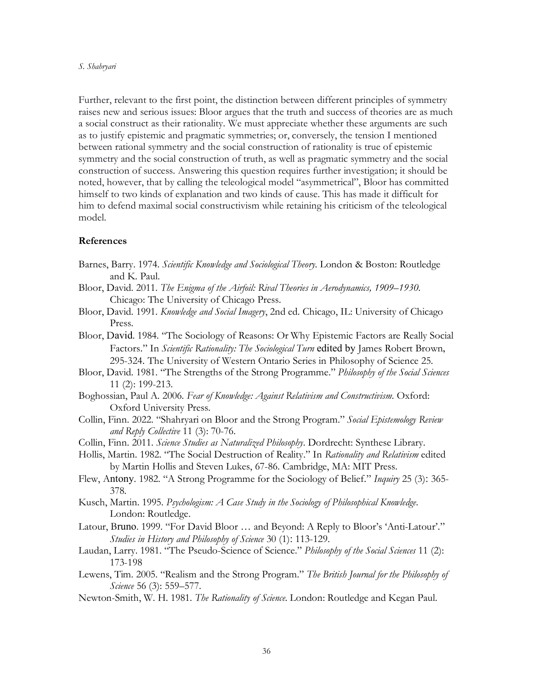#### *S. Shahryari*

Further, relevant to the first point, the distinction between different principles of symmetry raises new and serious issues: Bloor argues that the truth and success of theories are as much a social construct as their rationality. We must appreciate whether these arguments are such as to justify epistemic and pragmatic symmetries; or, conversely, the tension I mentioned between rational symmetry and the social construction of rationality is true of epistemic symmetry and the social construction of truth, as well as pragmatic symmetry and the social construction of success. Answering this question requires further investigation; it should be noted, however, that by calling the teleological model "asymmetrical", Bloor has committed himself to two kinds of explanation and two kinds of cause. This has made it difficult for him to defend maximal social constructivism while retaining his criticism of the teleological model.

### **References**

- Barnes, Barry. 1974. *Scientific Knowledge and Sociological Theory.* London & Boston: Routledge and K. Paul.
- Bloor, David. 2011. *The Enigma of the Airfoil: Rival Theories in Aerodynamics, 1909–1930*. Chicago: The University of Chicago Press.
- Bloor, David. 1991. *Knowledge and Social Imagery*, 2nd ed. Chicago, IL: University of Chicago Press.
- Bloor, David. 1984. "The Sociology of Reasons: Or Why Epistemic Factors are Really Social Factors." In *Scientific Rationality: The Sociological Turn* edited by James Robert Brown, 295-324. The University of Western Ontario Series in Philosophy of Science 25.
- Bloor, David. 1981. "The Strengths of the Strong Programme." *Philosophy of the Social Sciences* 11 (2): 199-213.
- Boghossian, Paul A. 2006. *Fear of Knowledge: Against Relativism and Constructivism*. Oxford: Oxford University Press.
- Collin, Finn. 2022. "Shahryari on Bloor and the Strong Program." *Social Epistemology Review and Reply Collective* 11 (3): 70-76.
- Collin, Finn. 2011. *Science Studies as Naturalized Philosophy*. Dordrecht: Synthese Library.
- Hollis, Martin. 1982. "The Social Destruction of Reality." In *Rationality and Relativism* edited by Martin Hollis and Steven Lukes, 67-86. Cambridge, MA: MIT Press.
- Flew, Antony. 1982. "A Strong Programme for the Sociology of Belief." *Inquiry* 25 (3): 365- 378.
- Kusch, Martin. 1995. *Psychologism: A Case Study in the Sociology of Philosophical Knowledge*. London: Routledge.
- Latour, Bruno. 1999. "For David Bloor … and Beyond: A Reply to Bloor's 'Anti-Latour'." *Studies in History and Philosophy of Science* 30 (1): 113-129.
- Laudan, Larry. 1981. "The Pseudo-Science of Science." *Philosophy of the Social Sciences* 11 (2): 173-198
- Lewens, Tim. 2005. "Realism and the Strong Program." *The British Journal for the Philosophy of Science* 56 (3): 559–577.
- Newton-Smith, W. H. 1981. *The Rationality of Science.* London: Routledge and Kegan Paul.